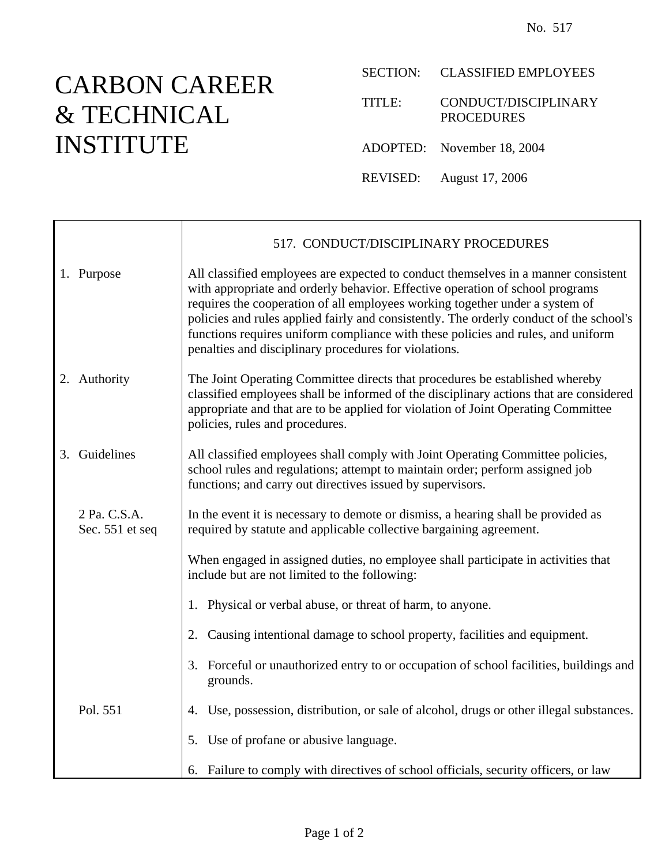## CARBON CAREER & TECHNICAL INSTITUTE

SECTION: CLASSIFIED EMPLOYEES

TITLE: CONDUCT/DISCIPLINARY PROCEDURES

- ADOPTED: November 18, 2004
- REVISED: August 17, 2006

|                                 | 517. CONDUCT/DISCIPLINARY PROCEDURES                                                                                                                                                                                                                                                                                                                                                                                                                                                        |
|---------------------------------|---------------------------------------------------------------------------------------------------------------------------------------------------------------------------------------------------------------------------------------------------------------------------------------------------------------------------------------------------------------------------------------------------------------------------------------------------------------------------------------------|
| 1. Purpose                      | All classified employees are expected to conduct themselves in a manner consistent<br>with appropriate and orderly behavior. Effective operation of school programs<br>requires the cooperation of all employees working together under a system of<br>policies and rules applied fairly and consistently. The orderly conduct of the school's<br>functions requires uniform compliance with these policies and rules, and uniform<br>penalties and disciplinary procedures for violations. |
| 2. Authority                    | The Joint Operating Committee directs that procedures be established whereby<br>classified employees shall be informed of the disciplinary actions that are considered<br>appropriate and that are to be applied for violation of Joint Operating Committee<br>policies, rules and procedures.                                                                                                                                                                                              |
| 3. Guidelines                   | All classified employees shall comply with Joint Operating Committee policies,<br>school rules and regulations; attempt to maintain order; perform assigned job<br>functions; and carry out directives issued by supervisors.                                                                                                                                                                                                                                                               |
| 2 Pa. C.S.A.<br>Sec. 551 et seq | In the event it is necessary to demote or dismiss, a hearing shall be provided as<br>required by statute and applicable collective bargaining agreement.                                                                                                                                                                                                                                                                                                                                    |
|                                 | When engaged in assigned duties, no employee shall participate in activities that<br>include but are not limited to the following:                                                                                                                                                                                                                                                                                                                                                          |
|                                 | Physical or verbal abuse, or threat of harm, to anyone.<br>1.                                                                                                                                                                                                                                                                                                                                                                                                                               |
|                                 | Causing intentional damage to school property, facilities and equipment.<br>2.                                                                                                                                                                                                                                                                                                                                                                                                              |
|                                 | Forceful or unauthorized entry to or occupation of school facilities, buildings and<br>3.<br>grounds.                                                                                                                                                                                                                                                                                                                                                                                       |
| Pol. 551                        | 4. Use, possession, distribution, or sale of alcohol, drugs or other illegal substances.                                                                                                                                                                                                                                                                                                                                                                                                    |
|                                 | Use of profane or abusive language.<br>5.                                                                                                                                                                                                                                                                                                                                                                                                                                                   |
|                                 | 6. Failure to comply with directives of school officials, security officers, or law                                                                                                                                                                                                                                                                                                                                                                                                         |